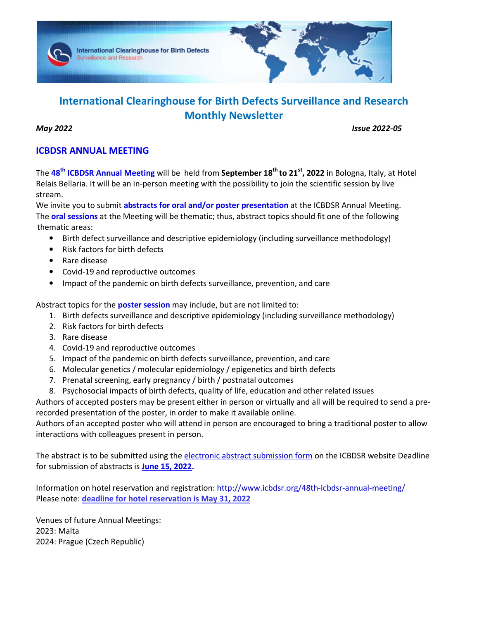

# **International Clearinghouse for Birth Defects Surveillance and Research Monthly Newsletter**

*May 2022 Issue 2022-05* 

# **ICBDSR ANNUAL MEETING**

The **48th ICBDSR Annual Meeting** will be held from **September 18th to 21st, 2022** in Bologna, Italy, at Hotel Relais Bellaria. It will be an in-person meeting with the possibility to join the scientific session by live stream.

We invite you to submit **abstracts for oral and/or poster presentation** at the ICBDSR Annual Meeting. The **oral sessions** at the Meeting will be thematic; thus, abstract topics should fit one of the following thematic areas:

- Birth defect surveillance and descriptive epidemiology (including surveillance methodology)
- Risk factors for birth defects
- Rare disease
- Covid-19 and reproductive outcomes
- Impact of the pandemic on birth defects surveillance, prevention, and care

Abstract topics for the **poster session** may include, but are not limited to:

- 1. Birth defects surveillance and descriptive epidemiology (including surveillance methodology)
- 2. Risk factors for birth defects
- 3. Rare disease
- 4. Covid-19 and reproductive outcomes
- 5. Impact of the pandemic on birth defects surveillance, prevention, and care
- 6. Molecular genetics / molecular epidemiology / epigenetics and birth defects
- 7. Prenatal screening, early pregnancy / birth / postnatal outcomes
- 8. Psychosocial impacts of birth defects, quality of life, education and other related issues

Authors of accepted posters may be present either in person or virtually and all will be required to send a prerecorded presentation of the poster, in order to make it available online.

Authors of an accepted poster who will attend in person are encouraged to bring a traditional poster to allow interactions with colleagues present in person.

The abstract is to be submitted using the electronic abstract submission form on the ICBDSR website Deadline for submission of abstracts is **June 15, 2022.**

Information on hotel reservation and registration: http://www.icbdsr.org/48th-icbdsr-annual-meeting/ Please note: **deadline for hotel reservation is May 31, 2022**

Venues of future Annual Meetings: 2023: Malta 2024: Prague (Czech Republic)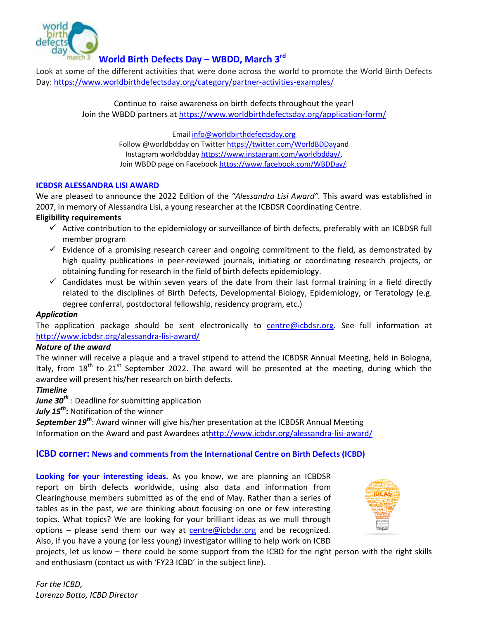

# **World Birth Defects Day – WBDD, March 3rd**

Look at some of the different activities that were done across the world to promote the World Birth Defects Day: https://www.worldbirthdefectsday.org/category/partner-activities-examples/

> Continue to raise awareness on birth defects throughout the year! Join the WBDD partners at https://www.worldbirthdefectsday.org/application-form/

> > Email info@worldbirthdefectsday.org Follow @worldbdday on Twitter https://twitter.com/WorldBDDayand Instagram worldbdday https://www.instagram.com/worldbdday/. Join WBDD page on Facebook https://www.facebook.com/WBDDay/.

## **ICBDSR ALESSANDRA LISI AWARD**

We are pleased to announce the 2022 Edition of the *"Alessandra Lisi Award".* This award was established in 2007, in memory of Alessandra Lisi, a young researcher at the ICBDSR Coordinating Centre.

# **Eligibility requirements**

- $\checkmark$  Active contribution to the epidemiology or surveillance of birth defects, preferably with an ICBDSR full member program
- $\checkmark$  Evidence of a promising research career and ongoing commitment to the field, as demonstrated by high quality publications in peer-reviewed journals, initiating or coordinating research projects, or obtaining funding for research in the field of birth defects epidemiology.
- $\checkmark$  Candidates must be within seven years of the date from their last formal training in a field directly related to the disciplines of Birth Defects, Developmental Biology, Epidemiology, or Teratology (e.g. degree conferral, postdoctoral fellowship, residency program, etc.)

# *Application*

The application package should be sent electronically to centre@icbdsr.org. See full information at http://www.icbdsr.org/alessandra-lisi-award/

#### *Nature of the award*

The winner will receive a plaque and a travel stipend to attend the ICBDSR Annual Meeting, held in Bologna, Italy, from  $18<sup>th</sup>$  to  $21<sup>st</sup>$  September 2022. The award will be presented at the meeting, during which the awardee will present his/her research on birth defects.

#### *Timeline*

*June 30th* : Deadline for submitting application

*July 15th***:** Notification of the winner

*September 19th*: Award winner will give his/her presentation at the ICBDSR Annual Meeting Information on the Award and past Awardees athttp://www.icbdsr.org/alessandra-lisi-award/

# **ICBD corner: News and comments from the International Centre on Birth Defects (ICBD)**

**Looking for your interesting ideas.** As you know, we are planning an ICBDSR report on birth defects worldwide, using also data and information from Clearinghouse members submitted as of the end of May. Rather than a series of tables as in the past, we are thinking about focusing on one or few interesting topics. What topics? We are looking for your brilliant ideas as we mull through options – please send them our way at centre@icbdsr.org and be recognized. Also, if you have a young (or less young) investigator willing to help work on ICBD



projects, let us know – there could be some support from the ICBD for the right person with the right skills and enthusiasm (contact us with 'FY23 ICBD' in the subject line).

*For the ICBD, Lorenzo Botto, ICBD Director*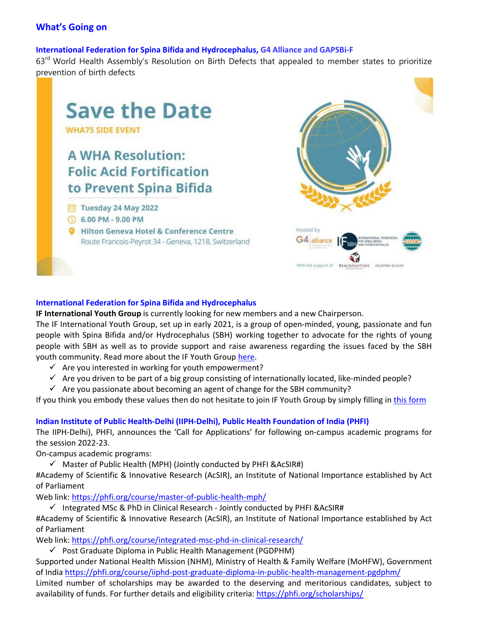# **What's Going on**

#### **International Federation for Spina Bifida and Hydrocephalus, G4 Alliance and GAPSBi-F**

63<sup>rd</sup> World Health Assembly's Resolution on Birth Defects that appealed to member states to prioritize prevention of birth defects



#### **International Federation for Spina Bifida and Hydrocephalus**

**IF International Youth Group** is currently looking for new members and a new Chairperson.

The IF International Youth Group, set up in early 2021, is a group of open-minded, young, passionate and fun people with Spina Bifida and/or Hydrocephalus (SBH) working together to advocate for the rights of young people with SBH as well as to provide support and raise awareness regarding the issues faced by the SBH youth community. Read more about the IF Youth Group here.

- $\checkmark$  Are you interested in working for youth empowerment?
- $\checkmark$  Are you driven to be part of a big group consisting of internationally located, like-minded people?
- $\checkmark$  Are you passionate about becoming an agent of change for the SBH community?

If you think you embody these values then do not hesitate to join IF Youth Group by simply filling in this form

#### **Indian Institute of Public Health-Delhi (IIPH-Delhi), Public Health Foundation of India (PHFI)**

The IIPH-Delhi), PHFI, announces the 'Call for Applications' for following on-campus academic programs for the session 2022-23.

On-campus academic programs:

 $\checkmark$  Master of Public Health (MPH) (Jointly conducted by PHFI &AcSIR#)

#Academy of Scientific & Innovative Research (AcSIR), an Institute of National Importance established by Act of Parliament

Web link: https://phfi.org/course/master-of-public-health-mph/

 $\checkmark$  Integrated MSc & PhD in Clinical Research - Jointly conducted by PHFI &AcSIR#

#Academy of Scientific & Innovative Research (AcSIR), an Institute of National Importance established by Act of Parliament

Web link: https://phfi.org/course/integrated-msc-phd-in-clinical-research/

 $\checkmark$  Post Graduate Diploma in Public Health Management (PGDPHM)

Supported under National Health Mission (NHM), Ministry of Health & Family Welfare (MoHFW), Government of India https://phfi.org/course/iiphd-post-graduate-diploma-in-public-health-management-pgdphm/

Limited number of scholarships may be awarded to the deserving and meritorious candidates, subject to availability of funds. For further details and eligibility criteria: https://phfi.org/scholarships/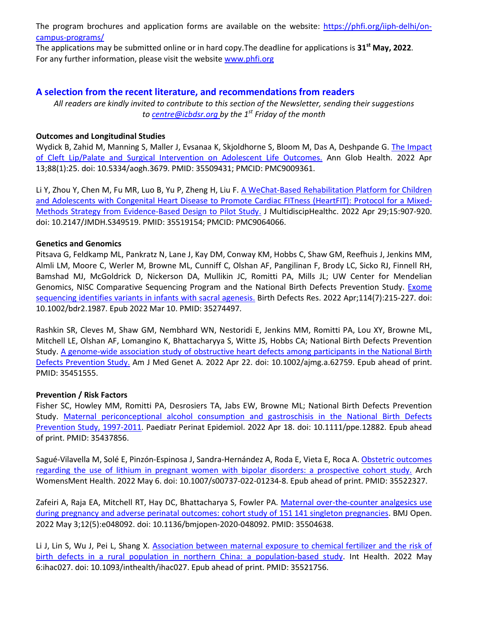The program brochures and application forms are available on the website: https://phfi.org/iiph-delhi/oncampus-programs/

The applications may be submitted online or in hard copy.The deadline for applications is **31st May, 2022**. For any further information, please visit the website www.phfi.org

# **A selection from the recent literature, and recommendations from readers**

*All readers are kindly invited to contribute to this section of the Newsletter, sending their suggestions to centre@icbdsr.org by the 1st Friday of the month*

## **Outcomes and Longitudinal Studies**

Wydick B, Zahid M, Manning S, Maller J, Evsanaa K, Skjoldhorne S, Bloom M, Das A, Deshpande G. The Impact of Cleft Lip/Palate and Surgical Intervention on Adolescent Life Outcomes. Ann Glob Health. 2022 Apr 13;88(1):25. doi: 10.5334/aogh.3679. PMID: 35509431; PMCID: PMC9009361.

Li Y, Zhou Y, Chen M, Fu MR, Luo B, Yu P, Zheng H, Liu F. A WeChat-Based Rehabilitation Platform for Children and Adolescents with Congenital Heart Disease to Promote Cardiac FITness (HeartFIT): Protocol for a Mixed-Methods Strategy from Evidence-Based Design to Pilot Study. J MultidiscipHealthc. 2022 Apr 29;15:907-920. doi: 10.2147/JMDH.S349519. PMID: 35519154; PMCID: PMC9064066.

## **Genetics and Genomics**

Pitsava G, Feldkamp ML, Pankratz N, Lane J, Kay DM, Conway KM, Hobbs C, Shaw GM, Reefhuis J, Jenkins MM, Almli LM, Moore C, Werler M, Browne ML, Cunniff C, Olshan AF, Pangilinan F, Brody LC, Sicko RJ, Finnell RH, Bamshad MJ, McGoldrick D, Nickerson DA, Mullikin JC, Romitti PA, Mills JL; UW Center for Mendelian Genomics, NISC Comparative Sequencing Program and the National Birth Defects Prevention Study. Exome sequencing identifies variants in infants with sacral agenesis. Birth Defects Res. 2022 Apr;114(7):215-227. doi: 10.1002/bdr2.1987. Epub 2022 Mar 10. PMID: 35274497.

Rashkin SR, Cleves M, Shaw GM, Nembhard WN, Nestoridi E, Jenkins MM, Romitti PA, Lou XY, Browne ML, Mitchell LE, Olshan AF, Lomangino K, Bhattacharyya S, Witte JS, Hobbs CA; National Birth Defects Prevention Study. A genome-wide association study of obstructive heart defects among participants in the National Birth Defects Prevention Study. Am J Med Genet A. 2022 Apr 22. doi: 10.1002/ajmg.a.62759. Epub ahead of print. PMID: 35451555.

#### **Prevention / Risk Factors**

Fisher SC, Howley MM, Romitti PA, Desrosiers TA, Jabs EW, Browne ML; National Birth Defects Prevention Study. Maternal periconceptional alcohol consumption and gastroschisis in the National Birth Defects Prevention Study, 1997-2011. Paediatr Perinat Epidemiol. 2022 Apr 18. doi: 10.1111/ppe.12882. Epub ahead of print. PMID: 35437856.

Sagué-Vilavella M, Solé E, Pinzón-Espinosa J, Sandra-Hernández A, Roda E, Vieta E, Roca A. Obstetric outcomes regarding the use of lithium in pregnant women with bipolar disorders: a prospective cohort study. Arch WomensMent Health. 2022 May 6. doi: 10.1007/s00737-022-01234-8. Epub ahead of print. PMID: 35522327.

Zafeiri A, Raja EA, Mitchell RT, Hay DC, Bhattacharya S, Fowler PA. Maternal over-the-counter analgesics use during pregnancy and adverse perinatal outcomes: cohort study of 151 141 singleton pregnancies. BMJ Open. 2022 May 3;12(5):e048092. doi: 10.1136/bmjopen-2020-048092. PMID: 35504638.

Li J, Lin S, Wu J, Pei L, Shang X. Association between maternal exposure to chemical fertilizer and the risk of birth defects in a rural population in northern China: a population-based study. Int Health. 2022 May 6:ihac027. doi: 10.1093/inthealth/ihac027. Epub ahead of print. PMID: 35521756.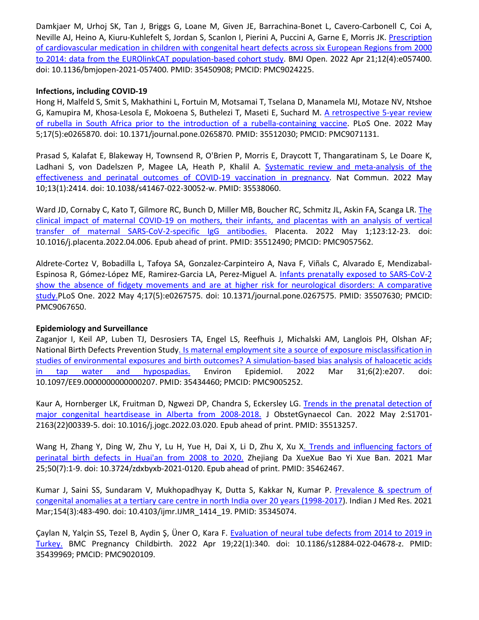Damkjaer M, Urhoj SK, Tan J, Briggs G, Loane M, Given JE, Barrachina-Bonet L, Cavero-Carbonell C, Coi A, Neville AJ, Heino A, Kiuru-Kuhlefelt S, Jordan S, Scanlon I, Pierini A, Puccini A, Garne E, Morris JK. Prescription of cardiovascular medication in children with congenital heart defects across six European Regions from 2000 to 2014: data from the EUROlinkCAT population-based cohort study. BMJ Open. 2022 Apr 21;12(4):e057400. doi: 10.1136/bmjopen-2021-057400. PMID: 35450908; PMCID: PMC9024225.

### **Infections, including COVID-19**

Hong H, Malfeld S, Smit S, Makhathini L, Fortuin M, Motsamai T, Tselana D, Manamela MJ, Motaze NV, Ntshoe G, Kamupira M, Khosa-Lesola E, Mokoena S, Buthelezi T, Maseti E, Suchard M. A retrospective 5-year review of rubella in South Africa prior to the introduction of a rubella-containing vaccine. PLoS One. 2022 May 5;17(5):e0265870. doi: 10.1371/journal.pone.0265870. PMID: 35512030; PMCID: PMC9071131.

Prasad S, Kalafat E, Blakeway H, Townsend R, O'Brien P, Morris E, Draycott T, Thangaratinam S, Le Doare K, Ladhani S, von Dadelszen P, Magee LA, Heath P, Khalil A. Systematic review and meta-analysis of the effectiveness and perinatal outcomes of COVID-19 vaccination in pregnancy. Nat Commun. 2022 May 10;13(1):2414. doi: 10.1038/s41467-022-30052-w. PMID: 35538060.

Ward JD, Cornaby C, Kato T, Gilmore RC, Bunch D, Miller MB, Boucher RC, Schmitz JL, Askin FA, Scanga LR. The clinical impact of maternal COVID-19 on mothers, their infants, and placentas with an analysis of vertical transfer of maternal SARS-CoV-2-specific IgG antibodies. Placenta. 2022 May 1;123:12-23. doi: 10.1016/j.placenta.2022.04.006. Epub ahead of print. PMID: 35512490; PMCID: PMC9057562.

Aldrete-Cortez V, Bobadilla L, Tafoya SA, Gonzalez-Carpinteiro A, Nava F, Viñals C, Alvarado E, Mendizabal-Espinosa R, Gómez-López ME, Ramirez-Garcia LA, Perez-Miguel A. Infants prenatally exposed to SARS-CoV-2 show the absence of fidgety movements and are at higher risk for neurological disorders: A comparative study.PLoS One. 2022 May 4;17(5):e0267575. doi: 10.1371/journal.pone.0267575. PMID: 35507630; PMCID: PMC9067650.

#### **Epidemiology and Surveillance**

Zaganjor I, Keil AP, Luben TJ, Desrosiers TA, Engel LS, Reefhuis J, Michalski AM, Langlois PH, Olshan AF; National Birth Defects Prevention Study. Is maternal employment site a source of exposure misclassification in studies of environmental exposures and birth outcomes? A simulation-based bias analysis of haloacetic acids in tap water and hypospadias. Environ Epidemiol. 2022 Mar 31;6(2):e207. doi: 10.1097/EE9.0000000000000207. PMID: 35434460; PMCID: PMC9005252.

Kaur A, Hornberger LK, Fruitman D, Ngwezi DP, Chandra S, Eckersley LG. Trends in the prenatal detection of major congenital heartdisease in Alberta from 2008-2018. J ObstetGynaecol Can. 2022 May 2:S1701- 2163(22)00339-5. doi: 10.1016/j.jogc.2022.03.020. Epub ahead of print. PMID: 35513257.

Wang H, Zhang Y, Ding W, Zhu Y, Lu H, Yue H, Dai X, Li D, Zhu X, Xu X. Trends and influencing factors of perinatal birth defects in Huai'an from 2008 to 2020. Zhejiang Da XueXue Bao Yi Xue Ban. 2021 Mar 25;50(7):1-9. doi: 10.3724/zdxbyxb-2021-0120. Epub ahead of print. PMID: 35462467.

Kumar J, Saini SS, Sundaram V, Mukhopadhyay K, Dutta S, Kakkar N, Kumar P. Prevalence & spectrum of congenital anomalies at a tertiary care centre in north India over 20 years (1998-2017). Indian J Med Res. 2021 Mar;154(3):483-490. doi: 10.4103/ijmr.IJMR\_1414\_19. PMID: 35345074.

Çaylan N, Yalçin SS, Tezel B, Aydin Ş, Üner O, Kara F. Evaluation of neural tube defects from 2014 to 2019 in Turkey. BMC Pregnancy Childbirth. 2022 Apr 19;22(1):340. doi: 10.1186/s12884-022-04678-z. PMID: 35439969; PMCID: PMC9020109.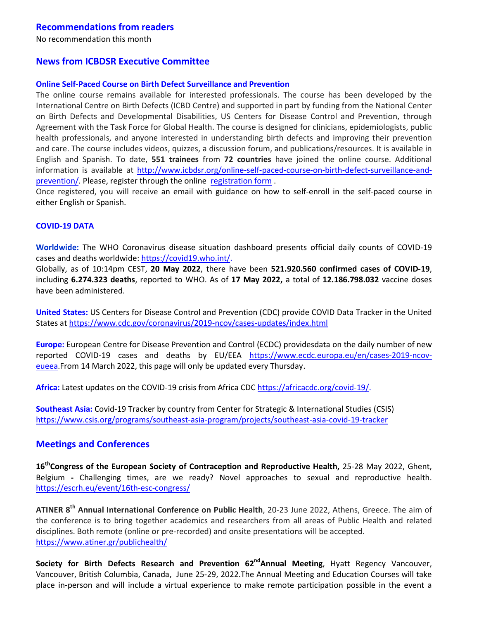# **Recommendations from readers**

No recommendation this month

### **News from ICBDSR Executive Committee**

#### **Online Self-Paced Course on Birth Defect Surveillance and Prevention**

The online course remains available for interested professionals. The course has been developed by the International Centre on Birth Defects (ICBD Centre) and supported in part by funding from the National Center on Birth Defects and Developmental Disabilities, US Centers for Disease Control and Prevention, through Agreement with the Task Force for Global Health. The course is designed for clinicians, epidemiologists, public health professionals, and anyone interested in understanding birth defects and improving their prevention and care. The course includes videos, quizzes, a discussion forum, and publications/resources. It is available in English and Spanish. To date, **551 trainees** from **72 countries** have joined the online course. Additional information is available at http://www.icbdsr.org/online-self-paced-course-on-birth-defect-surveillance-andprevention/. Please, register through the online registration form.

Once registered, you will receive an email with guidance on how to self-enroll in the self-paced course in either English or Spanish.

#### **COVID-19 DATA**

**Worldwide:** The WHO Coronavirus disease situation dashboard presents official daily counts of COVID-19 cases and deaths worldwide: https://covid19.who.int/.

Globally, as of 10:14pm CEST, **20 May 2022**, there have been **521.920.560 confirmed cases of COVID-19**, including **6.274.323 deaths**, reported to WHO. As of **17 May 2022,** a total of **12.186.798.032** vaccine doses have been administered.

**United States:** US Centers for Disease Control and Prevention (CDC) provide COVID Data Tracker in the United States at https://www.cdc.gov/coronavirus/2019-ncov/cases-updates/index.html

**Europe:** European Centre for Disease Prevention and Control (ECDC) providesdata on the daily number of new reported COVID-19 cases and deaths by EU/EEA https://www.ecdc.europa.eu/en/cases-2019-ncoveueea.From 14 March 2022, this page will only be updated every Thursday.

Africa: Latest updates on the COVID-19 crisis from Africa CDC https://africacdc.org/covid-19/.

**Southeast Asia:** Covid-19 Tracker by country from Center for Strategic & International Studies (CSIS) https://www.csis.org/programs/southeast-asia-program/projects/southeast-asia-covid-19-tracker

#### **Meetings and Conferences**

**16thCongress of the European Society of Contraception and Reproductive Health,** 25-28 May 2022, Ghent, Belgium **-** Challenging times, are we ready? Novel approaches to sexual and reproductive health. https://escrh.eu/event/16th-esc-congress/

**ATINER 8th Annual International Conference on Public Health**, 20-23 June 2022, Athens, Greece. The aim of the conference is to bring together academics and researchers from all areas of Public Health and related disciplines. Both remote (online or pre-recorded) and onsite presentations will be accepted. https://www.atiner.gr/publichealth/

**Society for Birth Defects Research and Prevention 62<sup>nd</sup>Annual Meeting, Hyatt Regency Vancouver,** Vancouver, British Columbia, Canada, June 25-29, 2022.The Annual Meeting and Education Courses will take place in-person and will include a virtual experience to make remote participation possible in the event a